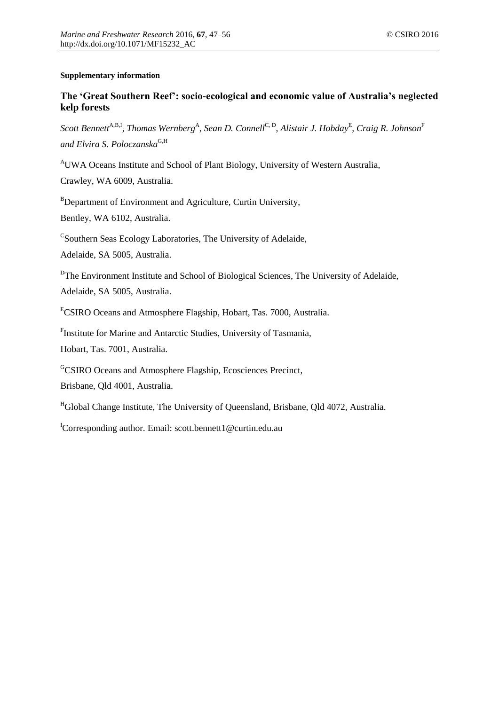#### **Supplementary information**

# **The 'Great Southern Reef': socio-ecological and economic value of Australia's neglected kelp forests**

Scott Bennett<sup>A,B,I</sup>, Thomas Wernberg<sup>A</sup>, Sean D. Connell<sup>C, D</sup>, Alistair J. Hobday<sup>E</sup>, Craig R. Johnson<sup>F</sup> and Elvira S. Poloczanska<sup>G,H</sup>

<sup>A</sup>UWA Oceans Institute and School of Plant Biology, University of Western Australia,

Crawley, WA 6009, Australia.

 $B$ Department of Environment and Agriculture, Curtin University,

Bentley, WA 6102, Australia.

<sup>C</sup>Southern Seas Ecology Laboratories, The University of Adelaide,

Adelaide, SA 5005, Australia.

<sup>D</sup>The Environment Institute and School of Biological Sciences, The University of Adelaide, Adelaide, SA 5005, Australia.

<sup>E</sup>CSIRO Oceans and Atmosphere Flagship, Hobart, Tas. 7000, Australia.

F Institute for Marine and Antarctic Studies, University of Tasmania,

Hobart, Tas. 7001, Australia.

<sup>G</sup>CSIRO Oceans and Atmosphere Flagship, Ecosciences Precinct,

Brisbane, Qld 4001, Australia.

<sup>H</sup>Global Change Institute, The University of Queensland, Brisbane, Qld 4072, Australia.

<sup>I</sup>Corresponding author. Email: scott.bennett1@curtin.edu.au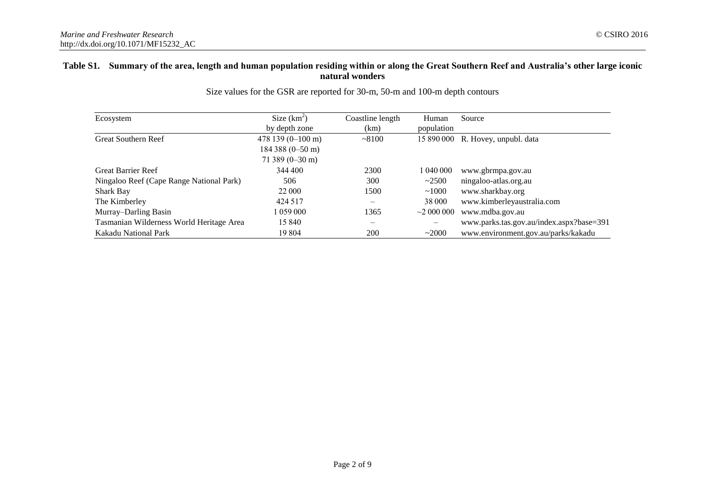#### **Table S1. Summary of the area, length and human population residing within or along the Great Southern Reef and Australia's other large iconic natural wonders**

| Ecosystem                                | Size $(km^2)$             | Coastline length                | Human           | Source                                   |
|------------------------------------------|---------------------------|---------------------------------|-----------------|------------------------------------------|
|                                          | by depth zone             | (km)                            | population      |                                          |
| <b>Great Southern Reef</b>               | $478139(0-100 \text{ m})$ | ~100                            |                 | 15 890 000 R. Hovey, unpubl. data        |
|                                          | $184388 (0 - 50 m)$       |                                 |                 |                                          |
|                                          | $71389(0-30)$ m)          |                                 |                 |                                          |
| <b>Great Barrier Reef</b>                | 344 400                   | 2300                            | 1 040 000       | www.gbrmpa.gov.au                        |
| Ningaloo Reef (Cape Range National Park) | 506                       | 300                             | ~2500           | ningaloo-atlas.org.au                    |
| Shark Bay                                | 22 000                    | 1500                            | ~1000           | www.sharkbay.org                         |
| The Kimberley                            | 424 517                   | -                               | 38 000          | www.kimberleyaustralia.com               |
| Murray–Darling Basin                     | 059000                    | 1365                            | $\sim$ 2000 000 | www.mdba.gov.au                          |
| Tasmanian Wilderness World Heritage Area | 15 840                    | $\hspace{0.1mm}-\hspace{0.1mm}$ | —               | www.parks.tas.gov.au/index.aspx?base=391 |
| Kakadu National Park                     | 19 804                    | 200                             | ~2000           | www.environment.gov.au/parks/kakadu      |

Size values for the GSR are reported for 30-m, 50-m and 100-m depth contours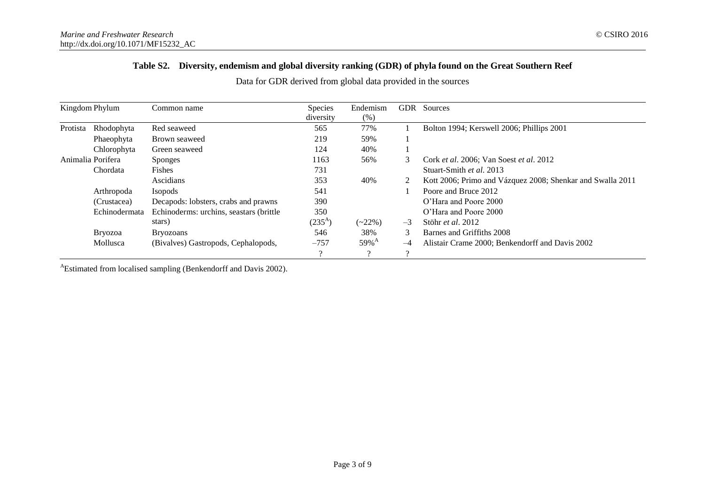## **Table S2. Diversity, endemism and global diversity ranking (GDR) of phyla found on the Great Southern Reef**

|          | Kingdom Phylum    | Common name                              | Species         | Endemism            | <b>GDR</b> | Sources                                                    |
|----------|-------------------|------------------------------------------|-----------------|---------------------|------------|------------------------------------------------------------|
|          |                   |                                          | diversity       | (% )                |            |                                                            |
| Protista | Rhodophyta        | Red seaweed                              | 565             | 77%                 |            | Bolton 1994; Kerswell 2006; Phillips 2001                  |
|          | Phaeophyta        | Brown seaweed                            | 219             | 59%                 |            |                                                            |
|          | Chlorophyta       | Green seaweed                            | 124             | 40%                 |            |                                                            |
|          | Animalia Porifera | <b>Sponges</b>                           | 1163            | 56%                 | 3          | Cork <i>et al.</i> 2006; Van Soest <i>et al.</i> 2012      |
|          | Chordata          | Fishes                                   | 731             |                     |            | Stuart-Smith et al. 2013                                   |
|          |                   | Ascidians                                | 353             | 40%                 | 2          | Kott 2006; Primo and Vázquez 2008; Shenkar and Swalla 2011 |
|          | Arthropoda        | <b>Isopods</b>                           | 541             |                     |            | Poore and Bruce 2012                                       |
|          | (Crustacea)       | Decapods: lobsters, crabs and prawns     | 390             |                     |            | O'Hara and Poore 2000                                      |
|          | Echinodermata     | Echinoderms: urchins, seastars (brittle) | 350             |                     |            | O'Hara and Poore 2000                                      |
|          |                   | stars)                                   | $(235^{\rm A})$ | $(-22\%)$           | $-3$       | Stöhr <i>et al.</i> 2012                                   |
|          | Bryozoa           | <b>Bryozoans</b>                         | 546             | 38%                 | 3          | Barnes and Griffiths 2008                                  |
|          | Mollusca          | (Bivalves) Gastropods, Cephalopods,      | $-757$          | $59\%$ <sup>A</sup> | $-4$       | Alistair Crame 2000; Benkendorff and Davis 2002            |
|          |                   |                                          |                 | റ                   | $\Omega$   |                                                            |

Data for GDR derived from global data provided in the sources

<sup>A</sup>Estimated from localised sampling (Benkendorff and Davis 2002).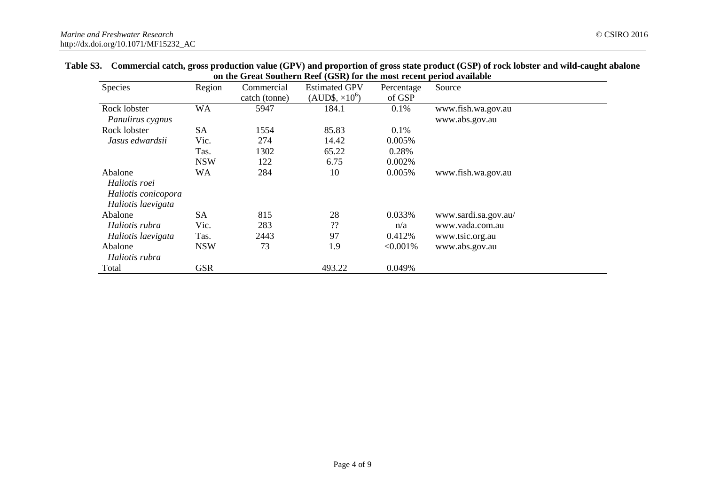| Species             | Region     | Commercial    | <b>Estimated GPV</b>                   | Percentage  | Source               |
|---------------------|------------|---------------|----------------------------------------|-------------|----------------------|
|                     |            | catch (tonne) | $(AUD\$ <sub>5</sub> , $\times 10^6$ ) | of GSP      |                      |
| Rock lobster        | <b>WA</b>  | 5947          | 184.1                                  | 0.1%        | www.fish.wa.gov.au   |
| Panulirus cygnus    |            |               |                                        |             | www.abs.gov.au       |
| Rock lobster        | SA         | 1554          | 85.83                                  | 0.1%        |                      |
| Jasus edwardsii     | Vic.       | 274           | 14.42                                  | 0.005%      |                      |
|                     | Tas.       | 1302          | 65.22                                  | 0.28%       |                      |
|                     | <b>NSW</b> | 122           | 6.75                                   | 0.002%      |                      |
| Abalone             | <b>WA</b>  | 284           | 10                                     | 0.005%      | www.fish.wa.gov.au   |
| Haliotis roei       |            |               |                                        |             |                      |
| Haliotis conicopora |            |               |                                        |             |                      |
| Haliotis laevigata  |            |               |                                        |             |                      |
| Abalone             | SA         | 815           | 28                                     | 0.033%      | www.sardi.sa.gov.au/ |
| Haliotis rubra      | Vic.       | 283           | ??                                     | n/a         | www.vada.com.au      |
| Haliotis laevigata  | Tas.       | 2443          | 97                                     | 0.412%      | www.tsic.org.au      |
| Abalone             | <b>NSW</b> | 73            | 1.9                                    | $< 0.001\%$ | www.abs.gov.au       |
| Haliotis rubra      |            |               |                                        |             |                      |
| Total               | <b>GSR</b> |               | 493.22                                 | 0.049%      |                      |

### **Table S3. Commercial catch, gross production value (GPV) and proportion of gross state product (GSP) of rock lobster and wild-caught abalone on the Great Southern Reef (GSR) for the most recent period available**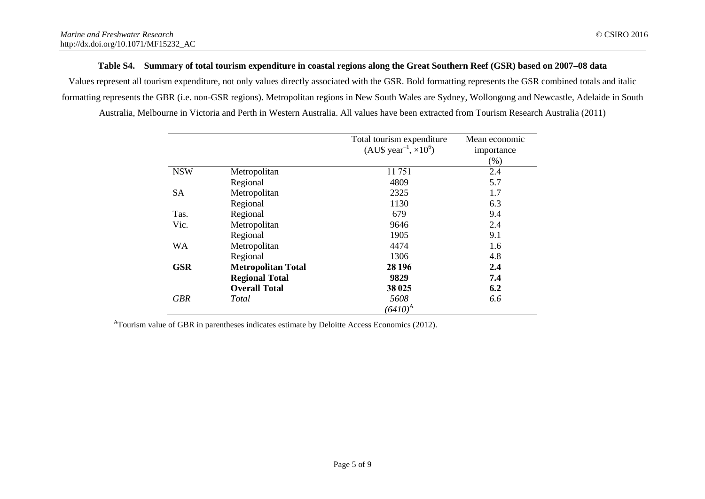### **Table S4. Summary of total tourism expenditure in coastal regions along the Great Southern Reef (GSR) based on 2007–08 data**

Values represent all tourism expenditure, not only values directly associated with the GSR. Bold formatting represents the GSR combined totals and italic formatting represents the GBR (i.e. non-GSR regions). Metropolitan regions in New South Wales are Sydney, Wollongong and Newcastle, Adelaide in South

| Australia, Melbourne in Victoria and Perth in Western Australia. All values have been extracted from Tourism Research Australia (2011) |  |  |  |
|----------------------------------------------------------------------------------------------------------------------------------------|--|--|--|
|----------------------------------------------------------------------------------------------------------------------------------------|--|--|--|

|            |                           | Total tourism expenditure | Mean economic |
|------------|---------------------------|---------------------------|---------------|
|            |                           | $(AU$ year-1, x106)$      | importance    |
|            |                           |                           | (% )          |
| <b>NSW</b> | Metropolitan              | 11751                     | 2.4           |
|            | Regional                  | 4809                      | 5.7           |
| <b>SA</b>  | Metropolitan              | 2325                      | 1.7           |
|            | Regional                  | 1130                      | 6.3           |
| Tas.       | Regional                  | 679                       | 9.4           |
| Vic.       | Metropolitan              | 9646                      | 2.4           |
|            | Regional                  | 1905                      | 9.1           |
| <b>WA</b>  | Metropolitan              | 4474                      | 1.6           |
|            | Regional                  | 1306                      | 4.8           |
| <b>GSR</b> | <b>Metropolitan Total</b> | 28 19 6                   | 2.4           |
|            | <b>Regional Total</b>     | 9829                      | 7.4           |
|            | <b>Overall Total</b>      | 38 025                    | 6.2           |
| <b>GBR</b> | Total                     | 5608                      | 6.6           |
|            |                           | $(6410)^{\rm A}$          |               |

<sup>A</sup>Tourism value of GBR in parentheses indicates estimate by Deloitte Access Economics (2012).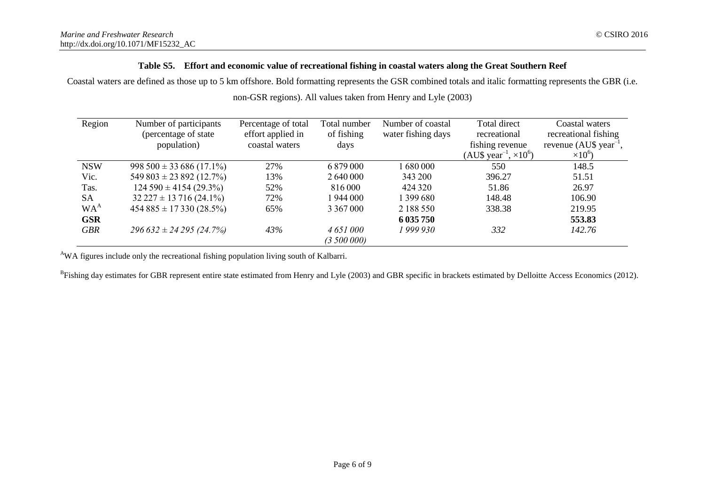### **Table S5. Effort and economic value of recreational fishing in coastal waters along the Great Southern Reef**

Coastal waters are defined as those up to 5 km offshore. Bold formatting represents the GSR combined totals and italic formatting represents the GBR (i.e.

| Region          | Number of participants<br>(percentage of state)<br>population) | Percentage of total<br>effort applied in<br>coastal waters | Total number<br>of fishing<br>days | Number of coastal<br>water fishing days | Total direct<br>recreational<br>fishing revenue<br>$(AU$ year-1, ×106)$ | Coastal waters<br>recreational fishing<br>revenue (AU\$ year <sup>-1</sup> .<br>$\times10^{6}$ |
|-----------------|----------------------------------------------------------------|------------------------------------------------------------|------------------------------------|-----------------------------------------|-------------------------------------------------------------------------|------------------------------------------------------------------------------------------------|
| <b>NSW</b>      | $998\,500 \pm 33\,686\, (17.1\%)$                              | 27%                                                        | 6879000                            | 1680000                                 | 550                                                                     | 148.5                                                                                          |
| Vic.            | $549803 \pm 23892(12.7%)$                                      | 13%                                                        | 2 640 000                          | 343 200                                 | 396.27                                                                  | 51.51                                                                                          |
| Tas.            | $124590 \pm 4154(29.3\%)$                                      | 52%                                                        | 816000                             | 424 320                                 | 51.86                                                                   | 26.97                                                                                          |
| <b>SA</b>       | $32\,227 \pm 13\,716\,(24.1\%)$                                | 72%                                                        | 1 944 000                          | 1 399 680                               | 148.48                                                                  | 106.90                                                                                         |
| WA <sup>A</sup> | $454885 \pm 17330(28.5\%)$                                     | 65%                                                        | 3 3 6 7 0 0 0                      | 2 188 550                               | 338.38                                                                  | 219.95                                                                                         |
| <b>GSR</b>      |                                                                |                                                            |                                    | 6 0 35 7 50                             |                                                                         | 553.83                                                                                         |
| <b>GBR</b>      | $296632 \pm 24295(24.7%)$                                      | 43%                                                        | 4 651 000<br>(3,500,000)           | 1999930                                 | 332                                                                     | 142.76                                                                                         |

non-GSR regions). All values taken from Henry and Lyle (2003)

<sup>A</sup>WA figures include only the recreational fishing population living south of Kalbarri.

<sup>B</sup>Fishing day estimates for GBR represent entire state estimated from Henry and Lyle (2003) and GBR specific in brackets estimated by Delloitte Access Economics (2012).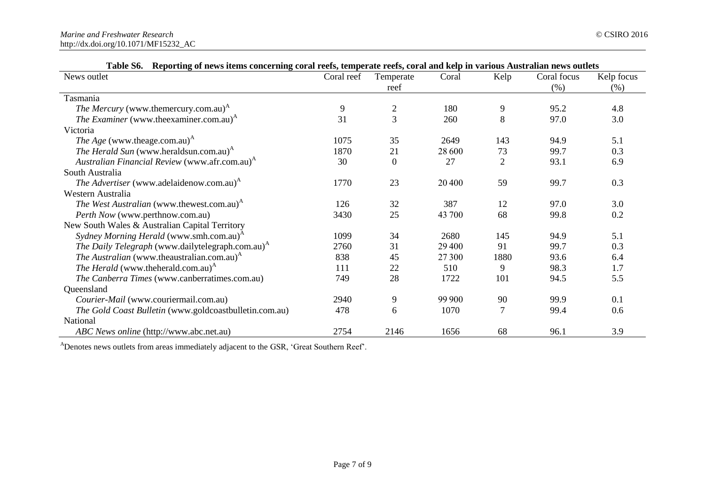| Table So. Aeporting of news rients concerning coral reets, temperate reets, coral and keip in various Australian news outlets |            |                |        |                |             |            |
|-------------------------------------------------------------------------------------------------------------------------------|------------|----------------|--------|----------------|-------------|------------|
| News outlet                                                                                                                   | Coral reef | Temperate      | Coral  | Kelp           | Coral focus | Kelp focus |
|                                                                                                                               |            | reef           |        |                | (% )        | (%)        |
| Tasmania                                                                                                                      |            |                |        |                |             |            |
| <i>The Mercury</i> (www.themercury.com.au) <sup>A</sup>                                                                       | 9          | $\overline{2}$ | 180    | 9              | 95.2        | 4.8        |
| <i>The Examiner</i> (www.theexaminer.com.au) <sup>A</sup>                                                                     | 31         | 3              | 260    | 8              | 97.0        | 3.0        |
| Victoria                                                                                                                      |            |                |        |                |             |            |
| <i>The Age</i> (www.theage.com.au) <sup>A</sup>                                                                               | 1075       | 35             | 2649   | 143            | 94.9        | 5.1        |
| The Herald Sun (www.heraldsun.com.au) <sup>A</sup>                                                                            | 1870       | 21             | 28 600 | 73             | 99.7        | 0.3        |
| Australian Financial Review (www.afr.com.au) <sup>A</sup>                                                                     | 30         | $\Omega$       | 27     | 2              | 93.1        | 6.9        |
| South Australia                                                                                                               |            |                |        |                |             |            |
| <i>The Advertiser</i> (www.adelaidenow.com.au) <sup>A</sup>                                                                   | 1770       | 23             | 20 400 | 59             | 99.7        | 0.3        |
| Western Australia                                                                                                             |            |                |        |                |             |            |
| <i>The West Australian</i> (www.thewest.com.au) <sup>A</sup>                                                                  | 126        | 32             | 387    | 12             | 97.0        | 3.0        |
| Perth Now (www.perthnow.com.au)                                                                                               | 3430       | 25             | 43 700 | 68             | 99.8        | 0.2        |
| New South Wales & Australian Capital Territory                                                                                |            |                |        |                |             |            |
| Sydney Morning Herald (www.smh.com.au) <sup>A</sup>                                                                           | 1099       | 34             | 2680   | 145            | 94.9        | 5.1        |
| The Daily Telegraph (www.dailytelegraph.com.au) <sup>A</sup>                                                                  | 2760       | 31             | 29 400 | 91             | 99.7        | 0.3        |
| <i>The Australian</i> (www.theaustralian.com.au) <sup>A</sup>                                                                 | 838        | 45             | 27300  | 1880           | 93.6        | 6.4        |
| <i>The Herald</i> (www.theherald.com.au) <sup>A</sup>                                                                         | 111        | 22             | 510    | 9              | 98.3        | 1.7        |
| The Canberra Times (www.canberratimes.com.au)                                                                                 | 749        | 28             | 1722   | 101            | 94.5        | 5.5        |
| Queensland                                                                                                                    |            |                |        |                |             |            |
| Courier-Mail (www.couriermail.com.au)                                                                                         | 2940       | 9              | 99 900 | 90             | 99.9        | 0.1        |
| The Gold Coast Bulletin (www.goldcoastbulletin.com.au)                                                                        | 478        | 6              | 1070   | $\overline{7}$ | 99.4        | 0.6        |
| National                                                                                                                      |            |                |        |                |             |            |
| ABC News online (http://www.abc.net.au)                                                                                       | 2754       | 2146           | 1656   | 68             | 96.1        | 3.9        |

| Table S6. |  |  |  | . Reporting of news items concerning coral reefs, temperate reefs, coral and kelp in various Australian news outlets |
|-----------|--|--|--|----------------------------------------------------------------------------------------------------------------------|
|-----------|--|--|--|----------------------------------------------------------------------------------------------------------------------|

<sup>A</sup>Denotes news outlets from areas immediately adjacent to the GSR, 'Great Southern Reef'.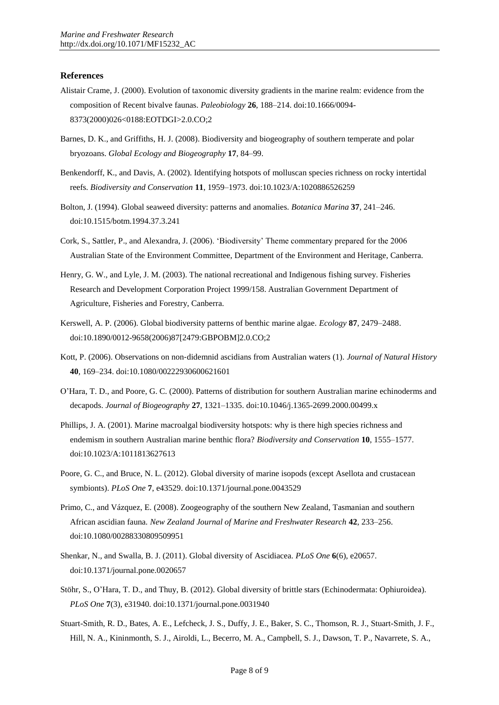#### **References**

- Alistair Crame, J. (2000). Evolution of taxonomic diversity gradients in the marine realm: evidence from the composition of Recent bivalve faunas. *Paleobiology* **26**, 188–214[. doi:10.1666/0094-](http://dx.doi.org/10.1666/0094-8373(2000)026%3c0188:EOTDGI%3e2.0.CO;2) [8373\(2000\)026<0188:EOTDGI>2.0.CO;2](http://dx.doi.org/10.1666/0094-8373(2000)026%3c0188:EOTDGI%3e2.0.CO;2)
- Barnes, D. K., and Griffiths, H. J. (2008). Biodiversity and biogeography of southern temperate and polar bryozoans. *Global Ecology and Biogeography* **17**, 84–99.
- Benkendorff, K., and Davis, A. (2002). Identifying hotspots of molluscan species richness on rocky intertidal reefs. *Biodiversity and Conservation* **11**, 1959–1973[. doi:10.1023/A:1020886526259](http://dx.doi.org/10.1023/A:1020886526259)
- Bolton, J. (1994). Global seaweed diversity: patterns and anomalies. *Botanica Marina* **37**, 241–246. [doi:10.1515/botm.1994.37.3.241](http://dx.doi.org/10.1515/botm.1994.37.3.241)
- Cork, S., Sattler, P., and Alexandra, J. (2006). 'Biodiversity' Theme commentary prepared for the 2006 Australian State of the Environment Committee, Department of the Environment and Heritage, Canberra.
- Henry, G. W., and Lyle, J. M. (2003). The national recreational and Indigenous fishing survey. Fisheries Research and Development Corporation Project 1999/158. Australian Government Department of Agriculture, Fisheries and Forestry, Canberra.
- Kerswell, A. P. (2006). Global biodiversity patterns of benthic marine algae. *Ecology* **87**, 2479–2488. [doi:10.1890/0012-9658\(2006\)87\[2479:GBPOBM\]2.0.CO;2](http://dx.doi.org/10.1890/0012-9658(2006)87%5b2479:GBPOBM%5d2.0.CO;2)
- Kott, P. (2006). Observations on non‐didemnid ascidians from Australian waters (1). *Journal of Natural History* **40**, 169–234[. doi:10.1080/00222930600621601](http://dx.doi.org/10.1080/00222930600621601)
- O'Hara, T. D., and Poore, G. C. (2000). Patterns of distribution for southern Australian marine echinoderms and decapods. *Journal of Biogeography* **27**, 1321–1335. [doi:10.1046/j.1365-2699.2000.00499.x](http://dx.doi.org/10.1046/j.1365-2699.2000.00499.x)
- Phillips, J. A. (2001). Marine macroalgal biodiversity hotspots: why is there high species richness and endemism in southern Australian marine benthic flora? *Biodiversity and Conservation* **10**, 1555–1577. [doi:10.1023/A:1011813627613](http://dx.doi.org/10.1023/A:1011813627613)
- Poore, G. C., and Bruce, N. L. (2012). Global diversity of marine isopods (except Asellota and crustacean symbionts). *PLoS One* **7**, e43529[. doi:10.1371/journal.pone.0043529](http://dx.doi.org/10.1371/journal.pone.0043529)
- Primo, C., and Vázquez, E. (2008). Zoogeography of the southern New Zealand, Tasmanian and southern African ascidian fauna. *New Zealand Journal of Marine and Freshwater Research* **42**, 233–256. [doi:10.1080/00288330809509951](http://dx.doi.org/10.1080/00288330809509951)
- Shenkar, N., and Swalla, B. J. (2011). Global diversity of Ascidiacea. *PLoS One* **6**(6), e20657. [doi:10.1371/journal.pone.0020657](http://dx.doi.org/10.1371/journal.pone.0020657)
- Stöhr, S., O'Hara, T. D., and Thuy, B. (2012). Global diversity of brittle stars (Echinodermata: Ophiuroidea). *PLoS One* **7**(3), e31940. [doi:10.1371/journal.pone.0031940](http://dx.doi.org/10.1371/journal.pone.0031940)
- Stuart-Smith, R. D., Bates, A. E., Lefcheck, J. S., Duffy, J. E., Baker, S. C., Thomson, R. J., Stuart-Smith, J. F., Hill, N. A., Kininmonth, S. J., Airoldi, L., Becerro, M. A., Campbell, S. J., Dawson, T. P., Navarrete, S. A.,